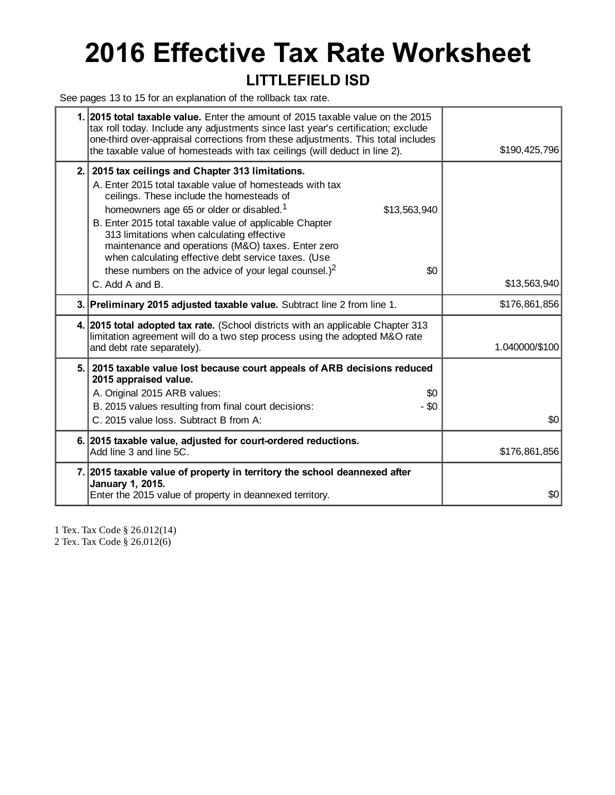# **2016 Effective Tax Rate Worksheet**

#### **LITTLEFIELD ISD**

See pages 13 to 15 for an explanation of the rollback tax rate.

|     | 1. 2015 total taxable value. Enter the amount of 2015 taxable value on the 2015<br>tax roll today. Include any adjustments since last year's certification; exclude<br>one-third over-appraisal corrections from these adjustments. This total includes<br>the taxable value of homesteads with tax ceilings (will deduct in line 2).                                                                                                                                                                                   | \$190,425,796  |
|-----|-------------------------------------------------------------------------------------------------------------------------------------------------------------------------------------------------------------------------------------------------------------------------------------------------------------------------------------------------------------------------------------------------------------------------------------------------------------------------------------------------------------------------|----------------|
| 2.1 | 2015 tax ceilings and Chapter 313 limitations.<br>A. Enter 2015 total taxable value of homesteads with tax<br>ceilings. These include the homesteads of<br>homeowners age 65 or older or disabled. <sup>1</sup><br>\$13,563,940<br>B. Enter 2015 total taxable value of applicable Chapter<br>313 limitations when calculating effective<br>maintenance and operations (M&O) taxes. Enter zero<br>when calculating effective debt service taxes. (Use<br>these numbers on the advice of your legal counsel.) $2$<br>\$0 |                |
|     | C. Add A and B.                                                                                                                                                                                                                                                                                                                                                                                                                                                                                                         | \$13,563,940   |
|     | 3. Preliminary 2015 adjusted taxable value. Subtract line 2 from line 1.                                                                                                                                                                                                                                                                                                                                                                                                                                                | \$176,861,856  |
|     | 4. 2015 total adopted tax rate. (School districts with an applicable Chapter 313<br>limitation agreement will do a two step process using the adopted M&O rate<br>and debt rate separately).                                                                                                                                                                                                                                                                                                                            | 1.040000/\$100 |
|     | 5. 2015 taxable value lost because court appeals of ARB decisions reduced<br>2015 appraised value.<br>A. Original 2015 ARB values:<br>\$0<br>B. 2015 values resulting from final court decisions:<br>$-$ \$0<br>C. 2015 value loss. Subtract B from A:                                                                                                                                                                                                                                                                  | \$0            |
|     | 6. 2015 taxable value, adjusted for court-ordered reductions.<br>Add line 3 and line 5C.                                                                                                                                                                                                                                                                                                                                                                                                                                | \$176,861,856  |
|     | 7. 2015 taxable value of property in territory the school deannexed after<br>January 1, 2015.<br>Enter the 2015 value of property in deannexed territory.                                                                                                                                                                                                                                                                                                                                                               | \$0            |
|     |                                                                                                                                                                                                                                                                                                                                                                                                                                                                                                                         |                |

1 Tex. Tax Code § 26.012(14)

2 Tex. Tax Code § 26.012(6)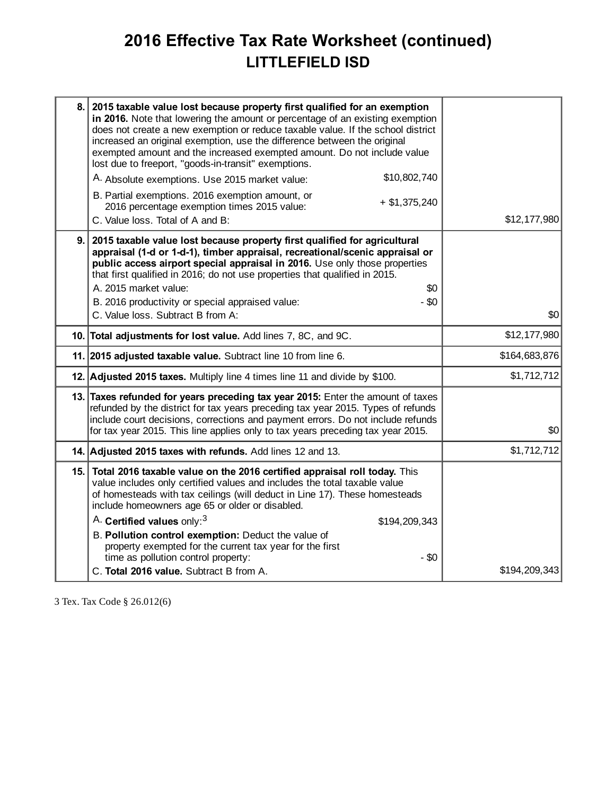## **2016 Effective Tax Rate Worksheet (continued) LITTLEFIELD ISD**

| 8. l | 2015 taxable value lost because property first qualified for an exemption<br>in 2016. Note that lowering the amount or percentage of an existing exemption<br>does not create a new exemption or reduce taxable value. If the school district<br>increased an original exemption, use the difference between the original<br>exempted amount and the increased exempted amount. Do not include value<br>lost due to freeport, "goods-in-transit" exemptions. |               |
|------|--------------------------------------------------------------------------------------------------------------------------------------------------------------------------------------------------------------------------------------------------------------------------------------------------------------------------------------------------------------------------------------------------------------------------------------------------------------|---------------|
|      | \$10,802,740<br>A. Absolute exemptions. Use 2015 market value:                                                                                                                                                                                                                                                                                                                                                                                               |               |
|      | B. Partial exemptions. 2016 exemption amount, or<br>$+$ \$1,375,240<br>2016 percentage exemption times 2015 value:<br>C. Value loss. Total of A and B:                                                                                                                                                                                                                                                                                                       | \$12,177,980  |
| 9.1  | 2015 taxable value lost because property first qualified for agricultural<br>appraisal (1-d or 1-d-1), timber appraisal, recreational/scenic appraisal or<br>public access airport special appraisal in 2016. Use only those properties<br>that first qualified in 2016; do not use properties that qualified in 2015.<br>A. 2015 market value:<br>\$0<br>B. 2016 productivity or special appraised value:<br>$-$ \$0<br>C. Value loss. Subtract B from A:   | \$0           |
|      | 10. Total adjustments for lost value. Add lines 7, 8C, and 9C.                                                                                                                                                                                                                                                                                                                                                                                               | \$12,177,980  |
|      | 11. 2015 adjusted taxable value. Subtract line 10 from line 6.                                                                                                                                                                                                                                                                                                                                                                                               | \$164,683,876 |
|      | 12. Adjusted 2015 taxes. Multiply line 4 times line 11 and divide by \$100.                                                                                                                                                                                                                                                                                                                                                                                  | \$1,712,712   |
|      | 13. Taxes refunded for years preceding tax year 2015: Enter the amount of taxes<br>refunded by the district for tax years preceding tax year 2015. Types of refunds<br>include court decisions, corrections and payment errors. Do not include refunds<br>for tax year 2015. This line applies only to tax years preceding tax year 2015.                                                                                                                    | \$0           |
|      | 14. Adjusted 2015 taxes with refunds. Add lines 12 and 13.                                                                                                                                                                                                                                                                                                                                                                                                   | \$1,712,712   |
|      | 15. Total 2016 taxable value on the 2016 certified appraisal roll today. This<br>value includes only certified values and includes the total taxable value<br>of homesteads with tax ceilings (will deduct in Line 17). These homesteads<br>include homeowners age 65 or older or disabled.                                                                                                                                                                  |               |
|      | A. Certified values only: <sup>3</sup><br>\$194,209,343                                                                                                                                                                                                                                                                                                                                                                                                      |               |
|      | B. Pollution control exemption: Deduct the value of<br>property exempted for the current tax year for the first                                                                                                                                                                                                                                                                                                                                              |               |
|      | time as pollution control property:<br>$-$ \$0<br>C. Total 2016 value. Subtract B from A.                                                                                                                                                                                                                                                                                                                                                                    | \$194,209,343 |
|      |                                                                                                                                                                                                                                                                                                                                                                                                                                                              |               |

3 Tex. Tax Code § 26.012(6)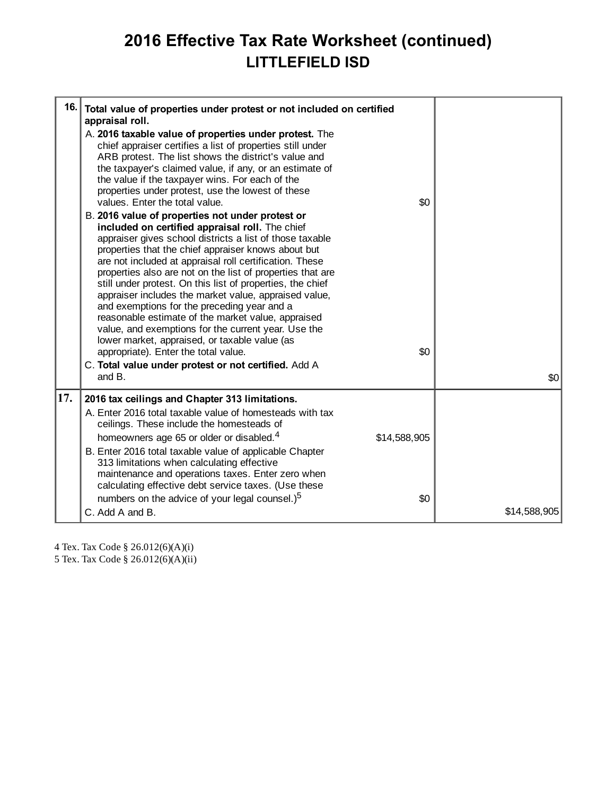## **2016 Effective Tax Rate Worksheet (continued) LITTLEFIELD ISD**

| 16. | Total value of properties under protest or not included on certified<br>appraisal roll.                                                                                                                                                                                                                                                                                                                                                                                                                                                                                                                                                                                                                                                                                                       |              |              |
|-----|-----------------------------------------------------------------------------------------------------------------------------------------------------------------------------------------------------------------------------------------------------------------------------------------------------------------------------------------------------------------------------------------------------------------------------------------------------------------------------------------------------------------------------------------------------------------------------------------------------------------------------------------------------------------------------------------------------------------------------------------------------------------------------------------------|--------------|--------------|
|     | A. 2016 taxable value of properties under protest. The<br>chief appraiser certifies a list of properties still under<br>ARB protest. The list shows the district's value and<br>the taxpayer's claimed value, if any, or an estimate of<br>the value if the taxpayer wins. For each of the<br>properties under protest, use the lowest of these<br>values. Enter the total value.                                                                                                                                                                                                                                                                                                                                                                                                             | \$0          |              |
|     | B. 2016 value of properties not under protest or<br>included on certified appraisal roll. The chief<br>appraiser gives school districts a list of those taxable<br>properties that the chief appraiser knows about but<br>are not included at appraisal roll certification. These<br>properties also are not on the list of properties that are<br>still under protest. On this list of properties, the chief<br>appraiser includes the market value, appraised value,<br>and exemptions for the preceding year and a<br>reasonable estimate of the market value, appraised<br>value, and exemptions for the current year. Use the<br>lower market, appraised, or taxable value (as<br>appropriate). Enter the total value.<br>C. Total value under protest or not certified. Add A<br>and B. | \$0          | \$0          |
| 17. | 2016 tax ceilings and Chapter 313 limitations.<br>A. Enter 2016 total taxable value of homesteads with tax                                                                                                                                                                                                                                                                                                                                                                                                                                                                                                                                                                                                                                                                                    |              |              |
|     | ceilings. These include the homesteads of<br>homeowners age 65 or older or disabled. <sup>4</sup><br>B. Enter 2016 total taxable value of applicable Chapter<br>313 limitations when calculating effective<br>maintenance and operations taxes. Enter zero when<br>calculating effective debt service taxes. (Use these                                                                                                                                                                                                                                                                                                                                                                                                                                                                       | \$14,588,905 |              |
|     | numbers on the advice of your legal counsel.) <sup>5</sup><br>C. Add A and B.                                                                                                                                                                                                                                                                                                                                                                                                                                                                                                                                                                                                                                                                                                                 | \$0          | \$14,588,905 |
|     |                                                                                                                                                                                                                                                                                                                                                                                                                                                                                                                                                                                                                                                                                                                                                                                               |              |              |

4 Tex. Tax Code § 26.012(6)(A)(i)

5 Tex. Tax Code § 26.012(6)(A)(ii)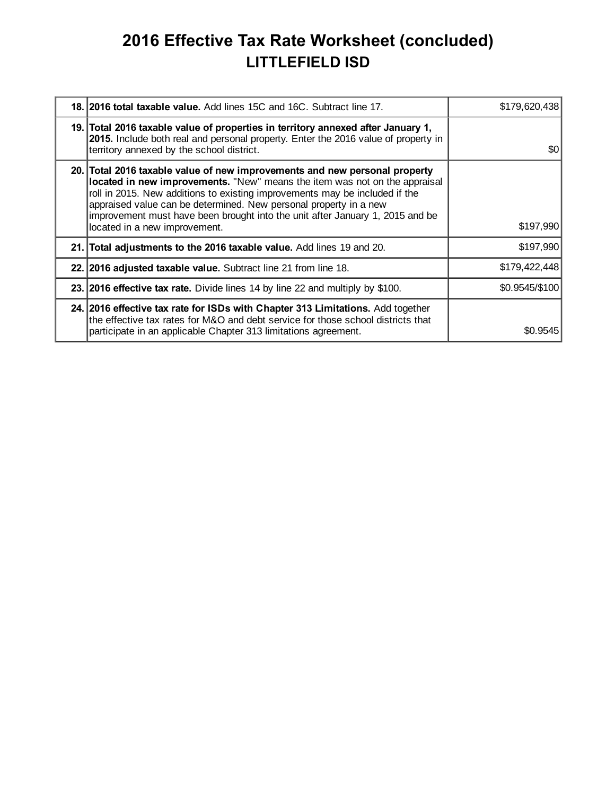## **2016 Effective Tax Rate Worksheet (concluded) LITTLEFIELD ISD**

| 18. 2016 total taxable value. Add lines 15C and 16C. Subtract line 17.                                                                                                                                                                                                                                                                                                                                                         | \$179,620,438  |
|--------------------------------------------------------------------------------------------------------------------------------------------------------------------------------------------------------------------------------------------------------------------------------------------------------------------------------------------------------------------------------------------------------------------------------|----------------|
| 19. Total 2016 taxable value of properties in territory annexed after January 1,<br>2015. Include both real and personal property. Enter the 2016 value of property in<br>territory annexed by the school district.                                                                                                                                                                                                            | \$0            |
| 20. Total 2016 taxable value of new improvements and new personal property<br>located in new improvements. "New" means the item was not on the appraisal<br>roll in 2015. New additions to existing improvements may be included if the<br>appraised value can be determined. New personal property in a new<br>improvement must have been brought into the unit after January 1, 2015 and be<br>located in a new improvement. | \$197,990      |
| 21. Total adjustments to the 2016 taxable value. Add lines 19 and 20.                                                                                                                                                                                                                                                                                                                                                          | \$197,990      |
| 22. 2016 adjusted taxable value. Subtract line 21 from line 18.                                                                                                                                                                                                                                                                                                                                                                | \$179,422,448  |
| 23. 2016 effective tax rate. Divide lines 14 by line 22 and multiply by \$100.                                                                                                                                                                                                                                                                                                                                                 | \$0.9545/\$100 |
| 24. 2016 effective tax rate for ISDs with Chapter 313 Limitations. Add together<br>the effective tax rates for M&O and debt service for those school districts that<br>participate in an applicable Chapter 313 limitations agreement.                                                                                                                                                                                         | \$0.9545       |
|                                                                                                                                                                                                                                                                                                                                                                                                                                |                |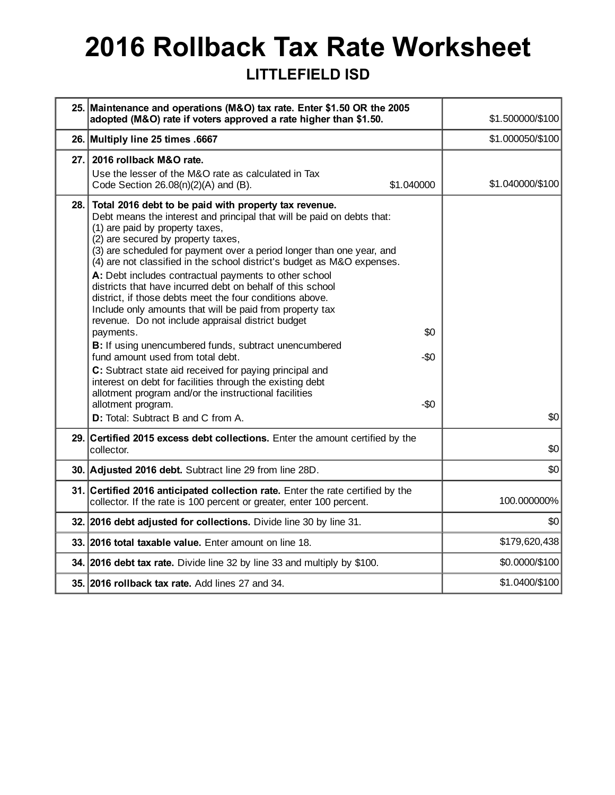# **2016 Rollback Tax Rate Worksheet**

### **LITTLEFIELD ISD**

|      | 25. Maintenance and operations (M&O) tax rate. Enter \$1.50 OR the 2005<br>adopted (M&O) rate if voters approved a rate higher than \$1.50.                                                                                                                                                                                                                                                                                                                                                                                                                                                                                                                                                                                                                                                                                                                                                                                                                                                                                                     | \$1.500000/\$100 |
|------|-------------------------------------------------------------------------------------------------------------------------------------------------------------------------------------------------------------------------------------------------------------------------------------------------------------------------------------------------------------------------------------------------------------------------------------------------------------------------------------------------------------------------------------------------------------------------------------------------------------------------------------------------------------------------------------------------------------------------------------------------------------------------------------------------------------------------------------------------------------------------------------------------------------------------------------------------------------------------------------------------------------------------------------------------|------------------|
|      | 26. Multiply line 25 times .6667                                                                                                                                                                                                                                                                                                                                                                                                                                                                                                                                                                                                                                                                                                                                                                                                                                                                                                                                                                                                                | \$1.000050/\$100 |
| 27.  | 2016 rollback M&O rate.<br>Use the lesser of the M&O rate as calculated in Tax<br>Code Section $26.08(n)(2)(A)$ and $(B)$ .<br>\$1.040000                                                                                                                                                                                                                                                                                                                                                                                                                                                                                                                                                                                                                                                                                                                                                                                                                                                                                                       | \$1.040000/\$100 |
| 28.  | Total 2016 debt to be paid with property tax revenue.<br>Debt means the interest and principal that will be paid on debts that:<br>(1) are paid by property taxes,<br>(2) are secured by property taxes,<br>(3) are scheduled for payment over a period longer than one year, and<br>(4) are not classified in the school district's budget as M&O expenses.<br>A: Debt includes contractual payments to other school<br>districts that have incurred debt on behalf of this school<br>district, if those debts meet the four conditions above.<br>Include only amounts that will be paid from property tax<br>revenue. Do not include appraisal district budget<br>payments.<br>\$0<br>B: If using unencumbered funds, subtract unencumbered<br>fund amount used from total debt.<br>-\$0<br>C: Subtract state aid received for paying principal and<br>interest on debt for facilities through the existing debt<br>allotment program and/or the instructional facilities<br>allotment program.<br>-\$0<br>D: Total: Subtract B and C from A. | \$0              |
| 29.1 | Certified 2015 excess debt collections. Enter the amount certified by the<br>collector.                                                                                                                                                                                                                                                                                                                                                                                                                                                                                                                                                                                                                                                                                                                                                                                                                                                                                                                                                         | \$0              |
|      | 30. Adjusted 2016 debt. Subtract line 29 from line 28D.                                                                                                                                                                                                                                                                                                                                                                                                                                                                                                                                                                                                                                                                                                                                                                                                                                                                                                                                                                                         | \$0              |
|      | 31. Certified 2016 anticipated collection rate. Enter the rate certified by the<br>collector. If the rate is 100 percent or greater, enter 100 percent.                                                                                                                                                                                                                                                                                                                                                                                                                                                                                                                                                                                                                                                                                                                                                                                                                                                                                         | 100.000000%      |
|      | 32. 2016 debt adjusted for collections. Divide line 30 by line 31.                                                                                                                                                                                                                                                                                                                                                                                                                                                                                                                                                                                                                                                                                                                                                                                                                                                                                                                                                                              | \$0              |
|      | 33. 2016 total taxable value. Enter amount on line 18.                                                                                                                                                                                                                                                                                                                                                                                                                                                                                                                                                                                                                                                                                                                                                                                                                                                                                                                                                                                          | \$179,620,438    |
|      | 34. 2016 debt tax rate. Divide line 32 by line 33 and multiply by \$100.                                                                                                                                                                                                                                                                                                                                                                                                                                                                                                                                                                                                                                                                                                                                                                                                                                                                                                                                                                        | \$0.0000/\$100   |
|      | 35. 2016 rollback tax rate. Add lines 27 and 34.                                                                                                                                                                                                                                                                                                                                                                                                                                                                                                                                                                                                                                                                                                                                                                                                                                                                                                                                                                                                | \$1.0400/\$100   |